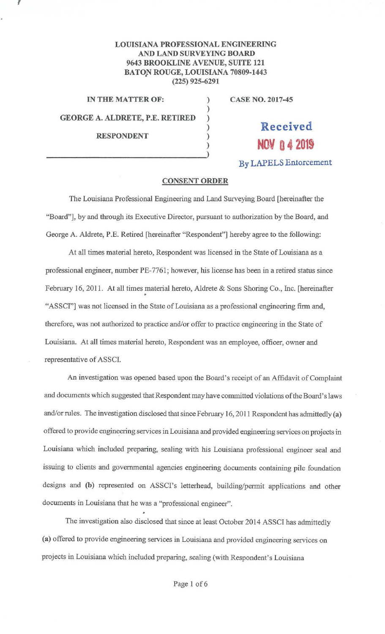## **LOUISIANA PROFESSIONAL ENGINEERING AND LAND SURVEYING BOARD 9643 BROOKLINE A VENUE, SUITE 121 BATON ROUGE, LOUISIANA 70809-1443**  • **(225) 925-6291**

)

**GEORGE A. ALDRETE, P.E. RETIRED** )

 $\mathcal{L}$ 

**RESPONDENT** )

**IN THE MATTER OF:** ) **CASE NO. 2017-45** 

## ) **Received NOV 0 4 2019**

**By LAPELS En1orcement** 

## **CONSENT ORDER**

The Louisiana Professional Engineering and Land Surveying Board (hereinafter the "Board"], by and through its Executive Director, pursuant to authorization by the Board, and George A. Aldrete, P.E. Retired [hereinafter "Respondent"] hereby agree to the following:

At all times material hereto, Respondent was licensed in the State of Louisiana as a professional engineer, number PE-7761; however, his license has been in a retired status since February 16, 2011. At all times material hereto, Aldrete & Sons Shoring Co., Inc. [hereinafter "ASSCI"] was not licensed in the State of Louisiana as a professional engineering firm and, therefore, was not authorized to practice and/or offer to practice engineering in the State of Louisiana. At all times material hereto, Respondent was an employee, officer, owner and representative of ASSCI.

An investigation was opened based upon the Board's receipt of an Affidavit of Complaint and documents which suggested that Respondent may have committed violations of the Board's laws and/or rules. The investigation disclosed that since February 16, 2011 Respondent has admittedly (a) offered to provide engineering services in Louisiana and provided engineering services on projects in Louisiana which included preparing, sealing with his Louisiana professional engineer seal and issuing to clients and governmental agencies engineering documents containing pile foundation designs and **(b)** represented on ASSCI's letterhead, building/permit applications and other documents in Louisiana that he was a "professional engineer".

The investigation also disclosed that since at least October 2014 ASSCI has admittedly **(a)** offered to provide engineering services in Louisiana and provided engineering services on projects in Louisiana which included preparing, sealing (with Respondent's Louisiana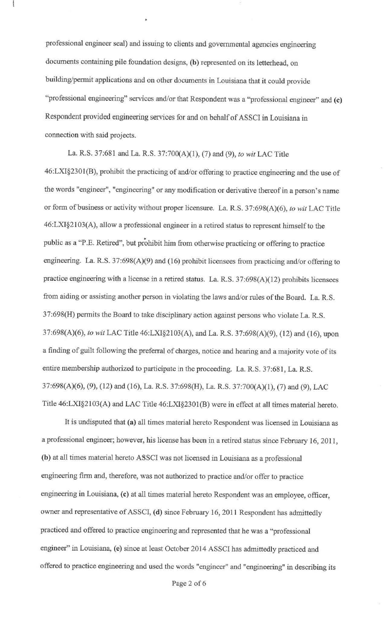professional engineer seal) and issuing to clients and governmental agencies engineering documents containing pile foundation designs, (b) represented on its letterhead, on building/permit applications and on other documents in Louisiana that it could provide "professional engineering" services and/or that Respondent was a "professional engineer" and **(c)**  Respondent provided engineering services for and on behalf of AS SCI in Louisiana in connection with said projects.

•

La. R.S. 37:681 and La. R.S. 37:700(A)(l), (7) and (9), *to wit* LAC Title 46:LXI§230l(B), prohibit the practicing of and/or offering to practice engineering and the use of the words "engineer", "engineering" or any modification or derivative thereof in a person's name or form of business or activity without proper licensure. La. R.S. 37:698(A)(6), *to wit* LAC Title 46:LXI§2103(A), allow a professional engineer in a retired status to represent himself to the public as a "P.E. Retired", but prohibit him from otherwise practicing or offering to practice engineering. La. R.S. 37:698(A)(9) and (16) prohibit licensees from practicing and/or offering to practice engineering with a license in a retired status. La. R.S. 37:698(A)(l2) prohibits licensees from aiding or assisting another person in violating the laws and/or rules of the Board. La. R.S. 37:698(H) permits the Board to take disciplinary action against persons who violate La. R.S. 37:698(A)(6), *to wit* LAC Title 46:LXI§2103(A), and La. R.S. 37:698(A)(9), (12) and (16), upon a finding of guilt following the preferral of charges, notice and hearing and a majority vote of its entire membership authorized to participate in the proceeding. La. R.S. 37:681, La. R.S. 37:698(A)(6), (9), (12) and (16), La. R.S. 37:698(H), La. R.S. 37:700(A)(I), (7) and (9), LAC Title 46:LXI§2103(A) and LAC Title 46:LXI§2301(B) were in effect at all times material hereto.

It is undisputed that **(a)** all times material hereto Respondent was licensed in Louisiana as a professional engineer; however, his license has been in a retired status since February 16, 2011 , **(b)** at all times material hereto ASS CI was not licensed in Louisiana as a professional engineering firm and, therefore, was not authorized to practice and/or offer to practice engineering in Louisiana, (c) at all times material hereto Respondent was an employee, officer, owner and representative of ASSCI, (d) since February 16, 2011 Respondent has admittedly practiced and offered to practice engineering and represented that he was a "professional engineer" in Louisiana, **(e)** since at least October 2014 ASSCI has admittedly practiced and offered to practice engineering and used the words "engineer" and "engineering" in describing its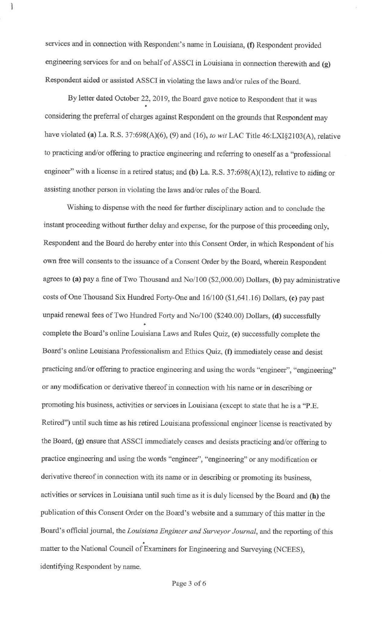services and in connection with Respondent's name in Louisiana, (f) Respondent provided engineering services for and on behalf of ASSCI in Louisiana in connection therewith and (g) Respondent aided or assisted ASS CI in violating the laws and/or rules of the Board.

I

By letter dated October 22, 2019, the Board gave notice to Respondent that it was considering the preferral of charges against Respondent on the grounds that Respondent may have violated **(a)** La. R.S. 37:698(A)(6), (9) and (16), *to wit* LAC Title 46:LXI§2103(A), relative to practicing and/or offering to practice engineering and referring to oneself as a "professional engineer" with a license in a retired status; and (b) La. R.S. 37:698(A)(12), relative to aiding or assisting another person in violating the laws and/or rules of the Board.

Wishing to dispense with the need for further disciplinary action and to conclude the instant proceeding without further delay and expense, for the purpose of this proceeding only, Respondent and the Board do hereby enter into this Consent Order, in which Respondent of his own free will consents to the issuance of a Consent Order by the Board, wherein Respondent agrees to **(a)** pay a fine of Two Thousand and No/100 (\$2,000.00) Dollars, **(b)** pay administrative costs of One Thousand Six Hundred Forty-One and 16/100 (\$1,641.16) Dollars, **(c)** pay past unpaid renewal fees of Two Hundred Forty and No/100 (\$240.00) Dollars, **(d)** successfully complete the Board's online Louisiana Laws and Rules Quiz, **(e)** successfully complete the Board's online Louisiana Professionalism and Ethics Quiz, **(f)** immediately cease and desist practicing and/or offering to practice engineering and using the words "engineer", "engineering" or any modification or derivative thereof in connection with his name or in describing or promoting his business, activities or services in Louisiana (except to state that he is a "P.E. Retired") until such time as his retired Louisiana professional engineer license is reactivated by the Board, (g) ensure that ASSCI immediately ceases and desists practicing and/or offering to practice engineering and using the words "engineer", "engineering" or any modification or derivative thereof in connection with its name or in describing or promoting its business, activities or services in Louisiana until such time as it is duly licensed by the Board and **(h)** the publication of this Consent Order on the Board's website and a summary of this matter in the Board's official journal, the *Louisiana Engineer and Surveyor Journal,* and the reporting of this . matter to the National Council of Examiners for Engineering and Surveying (NCEES), identifying Respondent by name.

Page 3 of 6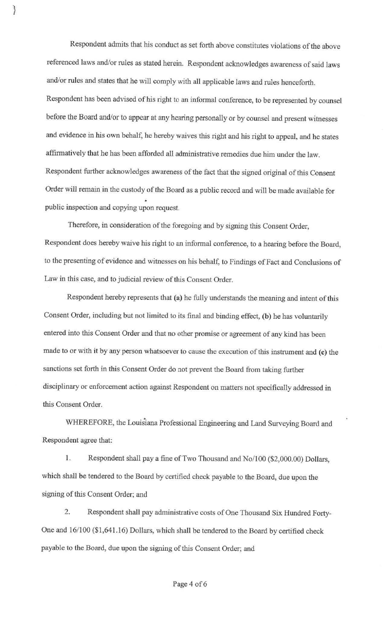Respondent admits that his conduct as set forth above constitutes violations of the above referenced laws and/or rules as stated herein. Respondent acknowledges awareness of said laws and/or rules and states that he will comply with all applicable laws and rules henceforth. Respondent has been advised of his right to an informal conference, to be represented by counsel before the Board and/or to appear at any hearing personally or by counsel and present witnesses and evidence in his own behalf, he hereby waives this right and his right to appeal, and he states affirmatively that he has been afforded all administrative remedies due him under the law. Respondent further acknowledges awareness of the fact that the signed original of this Consent Order will remain in the custody of the Board as a public record and will be made available for public inspection and copying upon request.

}

Therefore, in consideration of the foregoing and by signing this Consent Order, Respondent does hereby waive his right to an informal conference, to a hearing before the Board, to the presenting of evidence and witnesses on his behalf, to Findings of Fact and Conclusions of Law in this case, and to judicial review of this Consent Order.

Respondent hereby represents that (a) he fully understands the meaning and intent of this Consent Order, including but not limited to its final and binding effect, (b) he has voluntarily entered into this Consent Order and that no other promise or agreement of any kind has been made to or with it by any person whatsoever to cause the execution of this instrument and (c) the sanctions set forth in this Consent Order do not prevent the Board from taking further disciplinary or enforcement action against Respondent on matters not specifically addressed in this Consent Order.

WHEREFORE, the Louisiana Professional Engineering and Land Surveying Board and Respondent agree that:

1. Respondent shall pay a fine of Two Thousand and No/100 (\$2,000.00) Dollars, which shall be tendered to the Board by certified check payable to the Board, due upon the signing of this Consent Order; and

2. Respondent shall pay administrative costs of One Thousand Six Hundred Forty-One and 16/100 (\$1,641.16) Dollars, which shall be tendered to the Board by certified check payable to the Board, due upon the signing of this Consent Order; and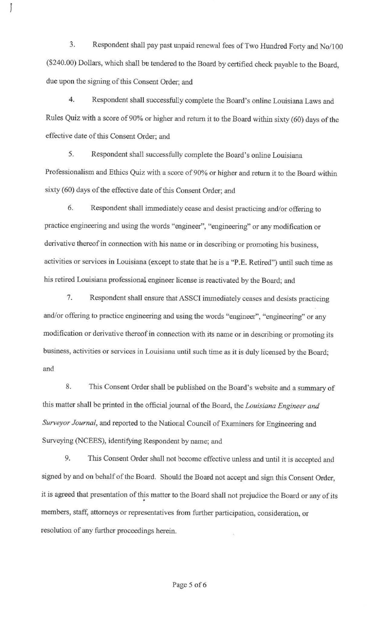3. Respondent shall pay past unpaid renewal fees of Two Hundred Forty and No/100 (\$240.00) Dollars, which shall be tendered to the Board by certified check payable to the Board, due upon the signing of this Consent Order; and

1

4. Respondent shall successfully complete the Board's online Louisiana Laws and Rules Quiz with a score of 90% or higher and return it to the Board within sixty (60) days of the effective date of this Consent Order; and

5. Respondent shall successfully complete the Board's online Louisiana Professionalism and Ethics Quiz with a score of 90% or higher and return it to the Board within sixty (60) days of the effective date of this Consent Order; and

6. Respondent shall immediately cease and desist practicing and/or offering to practice engineering and using the words "engineer", "engineering" or any modification or derivative thereof in connection with his name or in describing or promoting his business, activities or services in Louisiana (except to state that he is a "P.E. Retired'') until such time as his retired Louisiana professional engineer license is reactivated by the Board; and

7. Respondent shall ensure that ASSCI immediately ceases and desists practicing and/or offering to practice engineering and using the words "engineer", "engineering" or any modification or derivative thereof in connection with its name or in describing or promoting its business, activities or services in Louisiana until such time as it is duly licensed by the Board; and

8. This Consent Order shall be published on the Board's website and a summary of this matter shall be printed in the official journal of the Board, the *Louisiana Engineer and Surveyor Journal,* and reported to the National Council of Examiners for Engineering and Surveying (NCEES), identifying Respondent by name; and

9. This Consent Order shall not become effective unless and until it is accepted and signed by and on behalf of the Board. Should the Board not accept and sign this Consent Order, it is agreed that presentation of this matter to the Board shall not prejudice the Board or any of its members, staff, attorneys or representatives from further participation, consideration, or resolution of any further proceedings herein.